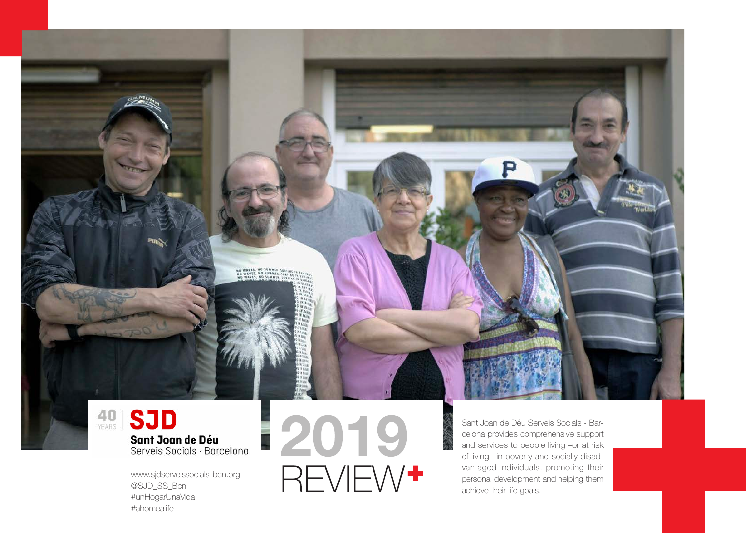## 40 **SJD** Sant Joan de Déu Serveis Socials · Barcelona

**NO WAVES, NO SUMMIR ...**<br>NO WAVES, NO SUMMIR<br>NO WAVES, NO SUMMIR

www.sjdserveissocials-bcn.org @SJD\_SS\_Bcn #unHogarUnaVida #ahomealife

12019 REVIEW<sup>+</sup>

Sant Joan de Déu Serveis Socials - Barcelona provides comprehensive support and services to people living –or at risk of living– in poverty and socially disad vantaged individuals, promoting their personal development and helping them achieve their life goals.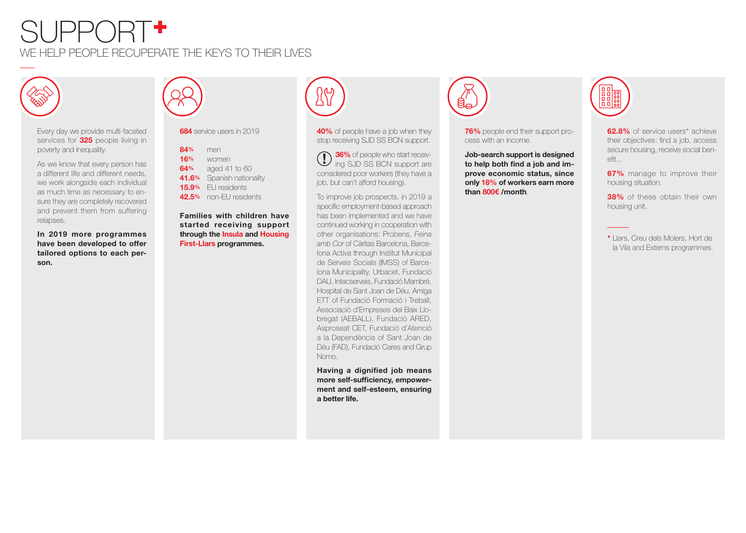## $\mathrm{S}$ LJPP $\mathrm{O}\mathrm{R}\mathrm{T}$ + WE HELP PEOPLE RECUPERATE THE KEYS TO THEIR LIVES



Every day we provide multi-faceted services for **325** people living in poverty and inequality.

As we know that every person has a different life and different needs, we work alongside each individual as much time as necessary to ensure they are completely recovered and prevent them from suffering relapses.

**In 2019 more programmes have been developed to offer tailored options to each person.**



**684** service users in 2019

| 84%   | men                 |
|-------|---------------------|
| 16%   | women               |
| 64%   | aged 41 to 60       |
| 41.6% | Spanish nationality |
| 15.9% | EU residents        |
| 42.5% | non-FU residents    |

**Families with children have started receiving support through the Insula and Housing First-Llars programmes.**



**40%** of people have a job when they stop receiving SJD SS BCN support.

**36%** of people who start receiving SJD SS BCN support are considered poor workers (they have a job, but can't afford housing).

To improve job prospects, in 2019 a specific employment-based approach has been implemented and we have continued working in cooperation with other organisations: Probens, *Feina amb Cor* of Càritas Barcelona, Barcelona Activa through Institut Municipal de Serveis Socials (IMSS) of Barcelona Municipality, Urbacet, Fundació DAU, Intecserveis, Fundació Mambré, Hospital de Sant Joan de Déu, Amiga ETT of Fundació Formació i Treball, Associació d'Empreses del Baix Llobregat (AEBALL), Fundació ARED, Asproseat CET, Fundació d'Atenció a la Dependència of Sant Joan de Déu (FAD), Fundació Cares and Grup Nomo.

**Having a dignified job means more self-sufficiency, empowerment and self-esteem, ensuring a better life.**



**76%** people end their support process with an income.

**Job-search support is designed to help both find a job and improve economic status, since only 18% of workers earn more than 800€ /month**.



**62.8%** of service users\* achieve their objectives: find a job, access secure housing, receive social benefit...

**67%** manage to improve their housing situation.

**38%** of these obtain their own housing unit.

**\*** Llars, Creu dels Molers, Hort de la Vila and Externs programmes.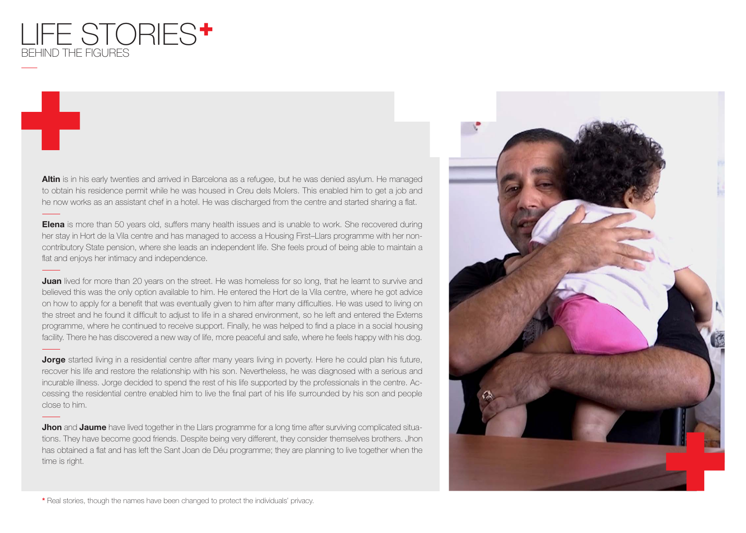

**Altin** is in his early twenties and arrived in Barcelona as a refugee, but he was denied asylum. He managed to obtain his residence permit while he was housed in Creu dels Molers. This enabled him to get a job and he now works as an assistant chef in a hotel. He was discharged from the centre and started sharing a flat.

**Elena** is more than 50 years old, suffers many health issues and is unable to work. She recovered during her stay in Hort de la Vila centre and has managed to access a Housing First–Llars programme with her noncontributory State pension, where she leads an independent life. She feels proud of being able to maintain a flat and enjoys her intimacy and independence.

**Juan** lived for more than 20 years on the street. He was homeless for so long, that he learnt to survive and believed this was the only option available to him. He entered the Hort de la Vila centre, where he got advice on how to apply for a benefit that was eventually given to him after many difficulties. He was used to living on the street and he found it difficult to adjust to life in a shared environment, so he left and entered the Externs programme, where he continued to receive support. Finally, he was helped to find a place in a social housing facility. There he has discovered a new way of life, more peaceful and safe, where he feels happy with his dog.

**Jorge** started living in a residential centre after many years living in poverty. Here he could plan his future, recover his life and restore the relationship with his son. Nevertheless, he was diagnosed with a serious and incurable illness. Jorge decided to spend the rest of his life supported by the professionals in the centre. Accessing the residential centre enabled him to live the final part of his life surrounded by his son and people close to him.

**Jhon** and **Jaume** have lived together in the Llars programme for a long time after surviving complicated situations. They have become good friends. Despite being very different, they consider themselves brothers. Jhon has obtained a flat and has left the Sant Joan de Déu programme; they are planning to live together when the time is right.



**\*** Real stories, though the names have been changed to protect the individuals' privacy.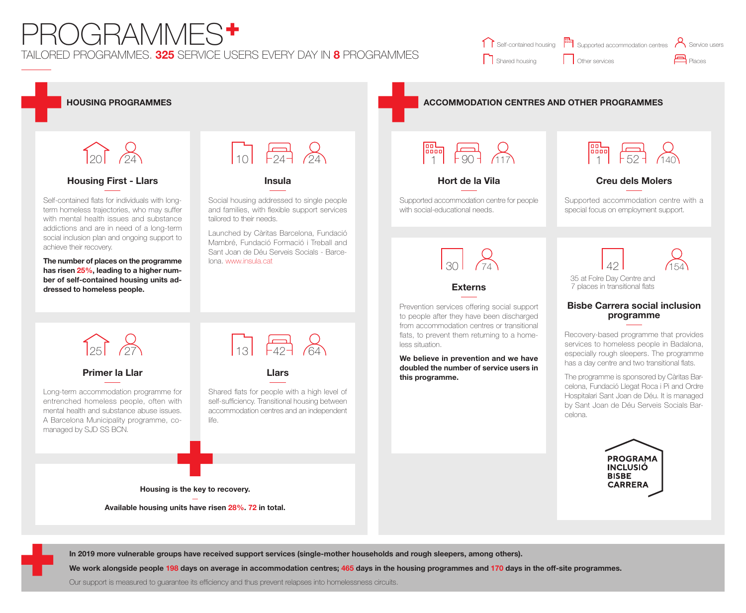## TAILORED PROGRAMMES. **325** SERVICE USERS EVERY DAY IN **8** PROGRAMMES PROGRAMMES<sup>+</sup>

|                | Self-contained housing [ Supported accommodation centres A Service users |                    |
|----------------|--------------------------------------------------------------------------|--------------------|
| Shared housing | Other services                                                           | P <sub>laces</sub> |



**In 2019 more vulnerable groups have received support services (single-mother households and rough sleepers, among others).**

**We work alongside people 198 days on average in accommodation centres; 465 days in the housing programmes and 170 days in the off-site programmes.**

Our support is measured to guarantee its efficiency and thus prevent relapses into homelessness circuits.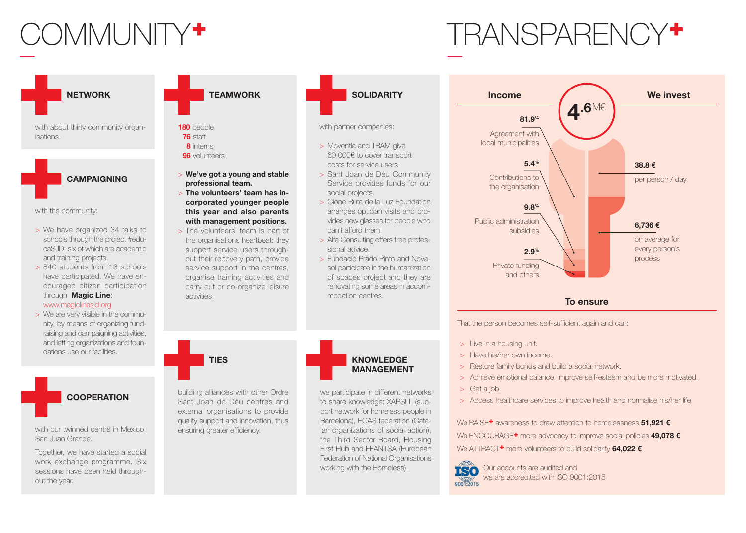# COMMUNITY<sup>+</sup> TRANSPARENCY<sup>+</sup>

**NETWORK**

with about thirty community organisations.



with the community:

- > We have organized 34 talks to schools through the project #educaSJD; six of which are academic and training projects.
- > 840 students from 13 schools have participated. We have encouraged citizen participation through **Magic Line**: www.magiclinesjd.org
- > We are very visible in the community, by means of organizing fundraising and campaigning activities, and letting organizations and foundations use our facilities.

### **COOPERATION**

with our twinned centre in Mexico. San Juan Grande.

Together, we have started a social work exchange programme. Six sessions have been held throughout the year.

| <b>TEAMWORK</b> |  |
|-----------------|--|
|                 |  |

**180** people **76** staff **8** interns **96** volunteers

- > **We've got a young and stable professional team.**
- > **The volunteers' team has incorporated younger people this year and also parents with management positions.**
- > The volunteers' team is part of the organisations heartbeat: they support service users throughout their recovery path, provide service support in the centres. organise training activities and carry out or co-organize leisure activities.

**TIES**

building alliances with other Ordre Sant Joan de Déu centres and external organisations to provide quality support and innovation, thus ensuring greater efficiency.



- > Sant Joan de Déu Community Service provides funds for our social projects.
- > Cione Ruta de la Luz Foundation arranges optician visits and provides new glasses for people who can't afford them.
- > Alfa Consulting offers free professional advice.
- > Fundació Prado Pintó and Novasol participate in the humanization of spaces project and they are renovating some areas in accommodation centres.



we participate in different networks to share knowledge: XAPSLL (support network for homeless people in Barcelona), ECAS federation (Catalan organizations of social action), the Third Sector Board, Housing First Hub and FEANTSA (European Federation of National Organisations working with the Homeless).



**To ensure**

That the person becomes self-sufficient again and can:

- > Live in a housing unit.
- > Have his/her own income.
- > Restore family bonds and build a social network.
- > Achieve emotional balance, improve self-esteem and be more motivated.
- > Get a job.
- > Access healthcare services to improve health and normalise his/her life.

We RAISE+ awareness to draw attention to homelessness **51,921 €** We ENCOURAGE+ more advocacy to improve social policies **49,078 €** We ATTRACT<sup>+</sup> more volunteers to build solidarity 64.022 €



Our accounts are audited and we are accredited with ISO 9001:2015